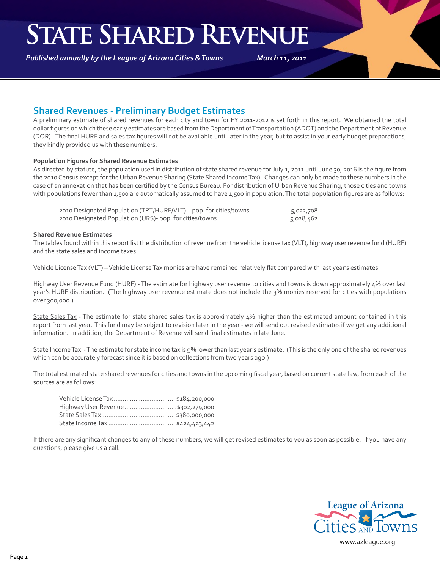### **State Shared Revenue**

*Published annually by the League of Arizona Cities & Towns*

*March 11, 2011*

### **Shared Revenues - Preliminary Budget Estimates**

A preliminary estimate of shared revenues for each city and town for FY 2011-2012 is set forth in this report. We obtained the total dollar figures on which these early estimates are based from the Department of Transportation (ADOT) and the Department of Revenue (DOR). The final HURF and sales tax figures will not be available until later in the year, but to assist in your early budget preparations, they kindly provided us with these numbers.

#### **Population Figures for Shared Revenue Estimates**

As directed by statute, the population used in distribution of state shared revenue for July 1, 2011 until June 30, 2016 is the figure from the 2010 Census except for the Urban Revenue Sharing (State Shared Income Tax). Changes can only be made to these numbers in the case of an annexation that has been certified by the Census Bureau. For distribution of Urban Revenue Sharing, those cities and towns with populations fewer than 1,500 are automatically assumed to have 1,500 in population. The total population figures are as follows:

| 2010 Designated Population (TPT/HURF/VLT) - pop. for cities/towns 5,022,708 |  |
|-----------------------------------------------------------------------------|--|
|                                                                             |  |

#### **Shared Revenue Estimates**

The tables found within this report list the distribution of revenue from the vehicle license tax (VLT), highway user revenue fund (HURF) and the state sales and income taxes.

Vehicle License Tax (VLT) – Vehicle License Tax monies are have remained relatively flat compared with last year's estimates.

Highway User Revenue Fund (HURF) - The estimate for highway user revenue to cities and towns is down approximately 4% over last year's HURF distribution. (The highway user revenue estimate does not include the 3% monies reserved for cities with populations over 300,000.)

State Sales Tax - The estimate for state shared sales tax is approximately 4% higher than the estimated amount contained in this report from last year. This fund may be subject to revision later in the year - we will send out revised estimates if we get any additional information. In addition, the Department of Revenue will send final estimates in late June.

State Income Tax - The estimate for state income tax is 9% lower than last year's estimate. (This is the only one of the shared revenues which can be accurately forecast since it is based on collections from two years ago.)

The total estimated state shared revenues for cities and towns in the upcoming fiscal year, based on current state law, from each of the sources are as follows:

| Highway User Revenue  \$302,279,000 |  |
|-------------------------------------|--|
|                                     |  |
|                                     |  |

If there are any significant changes to any of these numbers, we will get revised estimates to you as soon as possible. If you have any questions, please give us a call.



[www.azleague.org](http://www.azleague.org)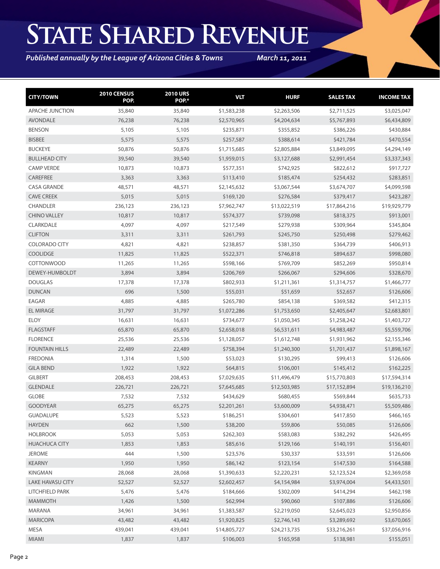# **State Shared Revenue**

*Published annually by the League of Arizona Cities & Towns*

*March 11, 2011*

| <b>CITY/TOWN</b>        | 2010 CENSUS<br>POP. | <b>2010 URS</b><br>POP.* | <b>VLT</b>   | <b>HURF</b>  | <b>SALES TAX</b> | <b>INCOME TAX</b> |
|-------------------------|---------------------|--------------------------|--------------|--------------|------------------|-------------------|
| <b>APACHE JUNCTION</b>  | 35,840              | 35,840                   | \$1,583,238  | \$2,263,506  | \$2,711,525      | \$3,025,047       |
| <b>AVONDALE</b>         | 76,238              | 76,238                   | \$2,570,965  | \$4,204,634  | \$5,767,893      | \$6,434,809       |
| <b>BENSON</b>           | 5,105               | 5,105                    | \$235,871    | \$355,852    | \$386,226        | \$430,884         |
| <b>BISBEE</b>           | 5,575               | 5,575                    | \$257,587    | \$388,614    | \$421,784        | \$470,554         |
| <b>BUCKEYE</b>          | 50,876              | 50,876                   | \$1,715,685  | \$2,805,884  | \$3,849,095      | \$4,294,149       |
| <b>BULLHEAD CITY</b>    | 39,540              | 39,540                   | \$1,959,015  | \$3,127,688  | \$2,991,454      | \$3,337,343       |
| <b>CAMP VERDE</b>       | 10,873              | 10,873                   | \$577,351    | \$742,925    | \$822,612        | \$917,727         |
| CAREFREE                | 3,363               | 3,363                    | \$113,410    | \$185,474    | \$254,432        | \$283,851         |
| <b>CASA GRANDE</b>      | 48,571              | 48,571                   | \$2,145,632  | \$3,067,544  | \$3,674,707      | \$4,099,598       |
| <b>CAVE CREEK</b>       | 5,015               | 5,015                    | \$169,120    | \$276,584    | \$379,417        | \$423,287         |
| <b>CHANDLER</b>         | 236,123             | 236,123                  | \$7,962,747  | \$13,022,519 | \$17,864,216     | \$19,929,779      |
| <b>CHINO VALLEY</b>     | 10,817              | 10,817                   | \$574,377    | \$739,098    | \$818,375        | \$913,001         |
| CLARKDALE               | 4,097               | 4,097                    | \$217,549    | \$279,938    | \$309,964        | \$345,804         |
| <b>CLIFTON</b>          | 3,311               | 3,311                    | \$261,793    | \$245,750    | \$250,498        | \$279,462         |
| <b>COLORADO CITY</b>    | 4,821               | 4,821                    | \$238,857    | \$381,350    | \$364,739        | \$406,913         |
| <b>COOLIDGE</b>         | 11,825              | 11,825                   | \$522,371    | \$746,818    | \$894,637        | \$998,080         |
| <b>COTTONWOOD</b>       | 11,265              | 11,265                   | \$598,166    | \$769,709    | \$852,269        | \$950,814         |
| DEWEY-HUMBOLDT          | 3,894               | 3,894                    | \$206,769    | \$266,067    | \$294,606        | \$328,670         |
| <b>DOUGLAS</b>          | 17,378              | 17,378                   | \$802,933    | \$1,211,361  | \$1,314,757      | \$1,466,777       |
| <b>DUNCAN</b>           | 696                 | 1,500                    | \$55,031     | \$51,659     | \$52,657         | \$126,606         |
| EAGAR                   | 4,885               | 4,885                    | \$265,780    | \$854,138    | \$369,582        | \$412,315         |
| <b>EL MIRAGE</b>        | 31,797              | 31,797                   | \$1,072,286  | \$1,753,650  | \$2,405,647      | \$2,683,801       |
| <b>ELOY</b>             | 16,631              | 16,631                   | \$734,677    | \$1,050,345  | \$1,258,242      | \$1,403,727       |
| <b>FLAGSTAFF</b>        | 65,870              | 65,870                   | \$2,658,018  | \$6,531,611  | \$4,983,487      | \$5,559,706       |
| <b>FLORENCE</b>         | 25,536              | 25,536                   | \$1,128,057  | \$1,612,748  | \$1,931,962      | \$2,155,346       |
| <b>FOUNTAIN HILLS</b>   | 22,489              | 22,489                   | \$758,394    | \$1,240,300  | \$1,701,437      | \$1,898,167       |
| <b>FREDONIA</b>         | 1,314               | 1,500                    | \$53,023     | \$130,295    | \$99,413         | \$126,606         |
| <b>GILA BEND</b>        | 1,922               | 1,922                    | \$64,815     | \$106,001    | \$145,412        | \$162,225         |
| <b>GILBERT</b>          | 208,453             | 208,453                  | \$7,029,635  | \$11,496,479 | \$15,770,803     | \$17,594,314      |
| <b>GLENDALE</b>         | 226,721             | 226,721                  | \$7,645,685  | \$12,503,985 | \$17,152,894     | \$19,136,210      |
| <b>GLOBE</b>            | 7,532               | 7,532                    | \$434,629    | \$680,455    | \$569,844        | \$635,733         |
| <b>GOODYEAR</b>         | 65,275              | 65,275                   | \$2,201,261  | \$3,600,009  | \$4,938,471      | \$5,509,486       |
| <b>GUADALUPE</b>        | 5,523               | 5,523                    | \$186,251    | \$304,601    | \$417,850        | \$466,165         |
| <b>HAYDEN</b>           | 662                 | 1,500                    | \$38,200     | \$59,806     | \$50,085         | \$126,606         |
| <b>HOLBROOK</b>         | 5,053               | 5,053                    | \$262,303    | \$583,083    | \$382,292        | \$426,495         |
| <b>HUACHUCA CITY</b>    | 1,853               | 1,853                    | \$85,616     | \$129,166    | \$140,191        | \$156,401         |
| <b>JEROME</b>           | 444                 | 1,500                    | \$23,576     | \$30,337     | \$33,591         | \$126,606         |
| KEARNY                  | 1,950               | 1,950                    | \$86,142     | \$123,154    | \$147,530        | \$164,588         |
| KINGMAN                 | 28,068              | 28,068                   | \$1,390,633  | \$2,220,231  | \$2,123,524      | \$2,369,058       |
| <b>LAKE HAVASU CITY</b> | 52,527              | 52,527                   | \$2,602,457  | \$4,154,984  | \$3,974,004      | \$4,433,501       |
| LITCHFIELD PARK         | 5,476               | 5,476                    | \$184,666    | \$302,009    | \$414,294        | \$462,198         |
| <b>MAMMOTH</b>          | 1,426               | 1,500                    | \$62,994     | \$90,060     | \$107,886        | \$126,606         |
| MARANA                  | 34,961              | 34,961                   | \$1,383,587  | \$2,219,050  | \$2,645,023      | \$2,950,856       |
| <b>MARICOPA</b>         | 43,482              | 43,482                   | \$1,920,825  | \$2,746,143  | \$3,289,692      | \$3,670,065       |
| MESA                    | 439,041             | 439,041                  | \$14,805,727 | \$24,213,735 | \$33,216,261     | \$37,056,916      |
| MIAMI                   | 1,837               | 1,837                    | \$106,003    | \$165,958    | \$138,981        | \$155,051         |